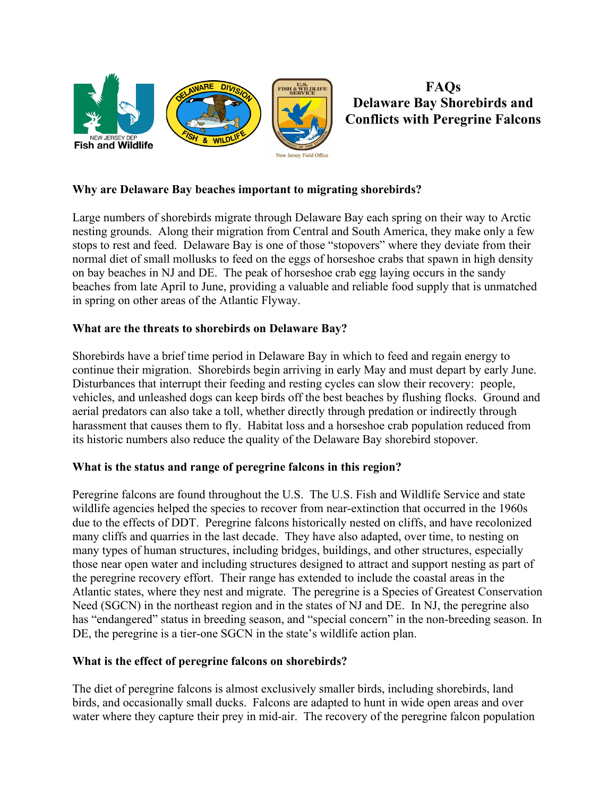

**FAQs Delaware Bay Shorebirds and Conflicts with Peregrine Falcons**

## **Why are Delaware Bay beaches important to migrating shorebirds?**

Large numbers of shorebirds migrate through Delaware Bay each spring on their way to Arctic nesting grounds. Along their migration from Central and South America, they make only a few stops to rest and feed. Delaware Bay is one of those "stopovers" where they deviate from their normal diet of small mollusks to feed on the eggs of horseshoe crabs that spawn in high density on bay beaches in NJ and DE. The peak of horseshoe crab egg laying occurs in the sandy beaches from late April to June, providing a valuable and reliable food supply that is unmatched in spring on other areas of the Atlantic Flyway.

# **What are the threats to shorebirds on Delaware Bay?**

Shorebirds have a brief time period in Delaware Bay in which to feed and regain energy to continue their migration. Shorebirds begin arriving in early May and must depart by early June. Disturbances that interrupt their feeding and resting cycles can slow their recovery: people, vehicles, and unleashed dogs can keep birds off the best beaches by flushing flocks. Ground and aerial predators can also take a toll, whether directly through predation or indirectly through harassment that causes them to fly. Habitat loss and a horseshoe crab population reduced from its historic numbers also reduce the quality of the Delaware Bay shorebird stopover.

### **What is the status and range of peregrine falcons in this region?**

Peregrine falcons are found throughout the U.S. The U.S. Fish and Wildlife Service and state wildlife agencies helped the species to recover from near-extinction that occurred in the 1960s due to the effects of DDT. Peregrine falcons historically nested on cliffs, and have recolonized many cliffs and quarries in the last decade. They have also adapted, over time, to nesting on many types of human structures, including bridges, buildings, and other structures, especially those near open water and including structures designed to attract and support nesting as part of the peregrine recovery effort. Their range has extended to include the coastal areas in the Atlantic states, where they nest and migrate. The peregrine is a Species of Greatest Conservation Need (SGCN) in the northeast region and in the states of NJ and DE. In NJ, the peregrine also has "endangered" status in breeding season, and "special concern" in the non-breeding season. In DE, the peregrine is a tier-one SGCN in the state's wildlife action plan.

### **What is the effect of peregrine falcons on shorebirds?**

The diet of peregrine falcons is almost exclusively smaller birds, including shorebirds, land birds, and occasionally small ducks. Falcons are adapted to hunt in wide open areas and over water where they capture their prey in mid-air. The recovery of the peregrine falcon population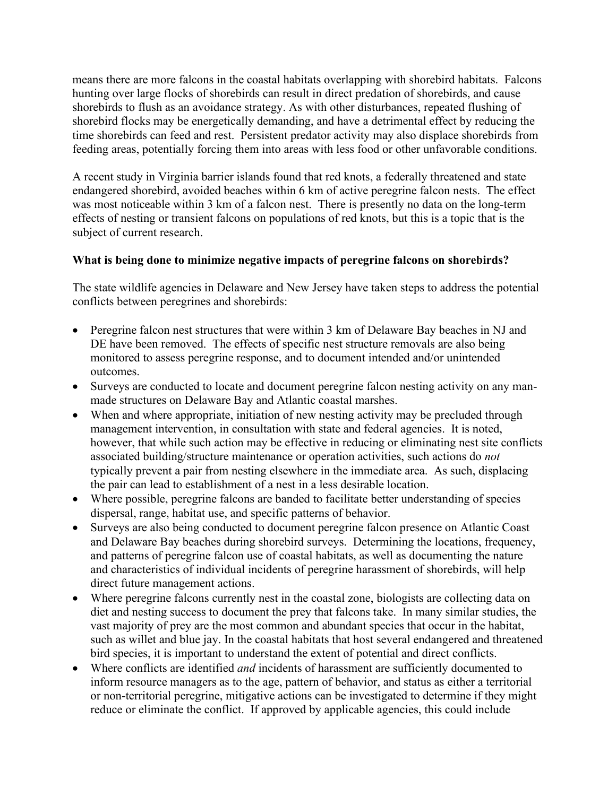means there are more falcons in the coastal habitats overlapping with shorebird habitats. Falcons hunting over large flocks of shorebirds can result in direct predation of shorebirds, and cause shorebirds to flush as an avoidance strategy. As with other disturbances, repeated flushing of shorebird flocks may be energetically demanding, and have a detrimental effect by reducing the time shorebirds can feed and rest. Persistent predator activity may also displace shorebirds from feeding areas, potentially forcing them into areas with less food or other unfavorable conditions.

A recent study in Virginia barrier islands found that red knots, a federally threatened and state endangered shorebird, avoided beaches within 6 km of active peregrine falcon nests. The effect was most noticeable within 3 km of a falcon nest. There is presently no data on the long-term effects of nesting or transient falcons on populations of red knots, but this is a topic that is the subject of current research.

### **What is being done to minimize negative impacts of peregrine falcons on shorebirds?**

The state wildlife agencies in Delaware and New Jersey have taken steps to address the potential conflicts between peregrines and shorebirds:

- Peregrine falcon nest structures that were within 3 km of Delaware Bay beaches in NJ and DE have been removed. The effects of specific nest structure removals are also being monitored to assess peregrine response, and to document intended and/or unintended outcomes.
- Surveys are conducted to locate and document peregrine falcon nesting activity on any manmade structures on Delaware Bay and Atlantic coastal marshes.
- When and where appropriate, initiation of new nesting activity may be precluded through management intervention, in consultation with state and federal agencies. It is noted, however, that while such action may be effective in reducing or eliminating nest site conflicts associated building/structure maintenance or operation activities, such actions do *not* typically prevent a pair from nesting elsewhere in the immediate area. As such, displacing the pair can lead to establishment of a nest in a less desirable location.
- Where possible, peregrine falcons are banded to facilitate better understanding of species dispersal, range, habitat use, and specific patterns of behavior.
- Surveys are also being conducted to document peregrine falcon presence on Atlantic Coast and Delaware Bay beaches during shorebird surveys. Determining the locations, frequency, and patterns of peregrine falcon use of coastal habitats, as well as documenting the nature and characteristics of individual incidents of peregrine harassment of shorebirds, will help direct future management actions.
- Where peregrine falcons currently nest in the coastal zone, biologists are collecting data on diet and nesting success to document the prey that falcons take. In many similar studies, the vast majority of prey are the most common and abundant species that occur in the habitat, such as willet and blue jay. In the coastal habitats that host several endangered and threatened bird species, it is important to understand the extent of potential and direct conflicts.
- Where conflicts are identified *and* incidents of harassment are sufficiently documented to inform resource managers as to the age, pattern of behavior, and status as either a territorial or non-territorial peregrine, mitigative actions can be investigated to determine if they might reduce or eliminate the conflict. If approved by applicable agencies, this could include